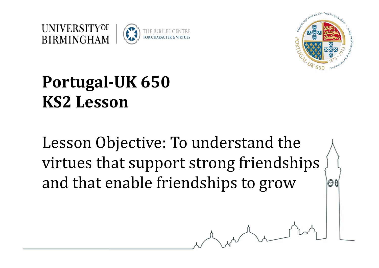



Ol

## **Portugal-UK 650 KS2 Lesson**

Lesson Objective: To understand the virtues that support strong friendships and that enable friendships to grow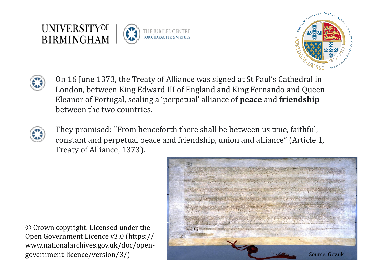





On 16 June 1373, the Treaty of Alliance was signed at St Paul's Cathedral in London, between King Edward III of England and King Fernando and Queen Eleanor of Portugal, sealing a 'perpetual' alliance of **peace** and **friendship** between the two countries.



They promised: "From henceforth there shall be between us true, faithful, constant and perpetual peace and friendship, union and alliance" (Article 1, Treaty of Alliance, 1373).

© Crown copyright. Licensed under the Open Government Licence v3.0 (https:// www.nationalarchives.gov.uk/doc/opengovernment-licence/version/3/) 

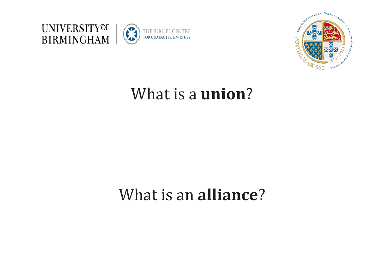



#### What is a **union**?

#### What is an **alliance**?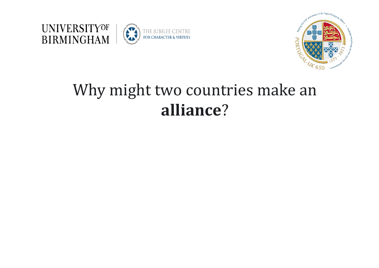



#### Why might two countries make an **alliance**?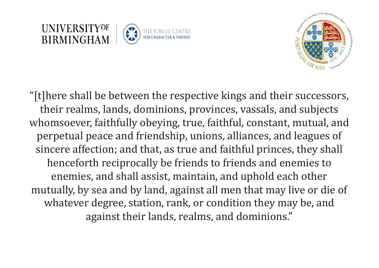



"[t]here shall be between the respective kings and their successors, their realms, lands, dominions, provinces, vassals, and subjects whomsoever, faithfully obeying, true, faithful, constant, mutual, and perpetual peace and friendship, unions, alliances, and leagues of sincere affection; and that, as true and faithful princes, they shall henceforth reciprocally be friends to friends and enemies to enemies, and shall assist, maintain, and uphold each other mutually, by sea and by land, against all men that may live or die of whatever degree, station, rank, or condition they may be, and against their lands, realms, and dominions."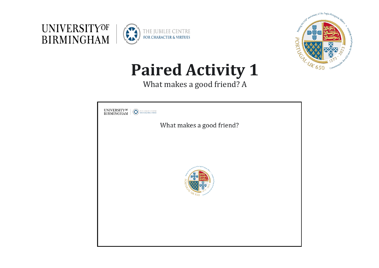

**UNIVERSITYOF** 

**BIRMINGHAM** 



## **Paired Activity 1**

What makes a good friend? A

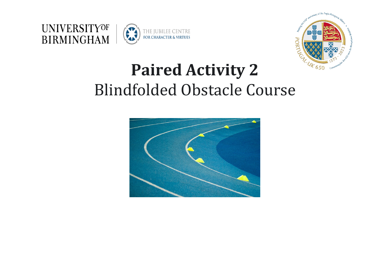





### **Paired Activity 2 Blindfolded Obstacle Course**

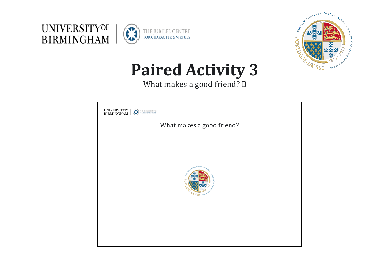

**UNIVERSITYOF** 

**BIRMINGHAM** 



## **Paired Activity 3**

What makes a good friend? B